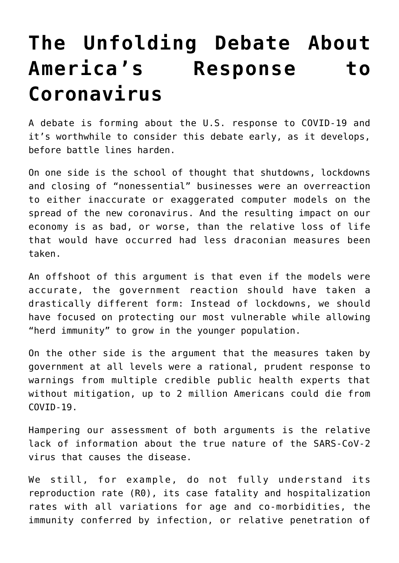## **[The Unfolding Debate About](https://intellectualtakeout.org/2020/04/the-unfolding-debate-about-americas-response-to-coronavirus/) [America's Response to](https://intellectualtakeout.org/2020/04/the-unfolding-debate-about-americas-response-to-coronavirus/) [Coronavirus](https://intellectualtakeout.org/2020/04/the-unfolding-debate-about-americas-response-to-coronavirus/)**

A debate is forming about the U.S. response to COVID-19 and it's worthwhile to consider this debate early, as it develops, before battle lines harden.

On one side is the school of thought that shutdowns, lockdowns and closing of "nonessential" businesses were an overreaction to either inaccurate or exaggerated computer models on the spread of the new coronavirus. And the resulting impact on our economy is as bad, or worse, than the relative loss of life that would have occurred had less draconian measures been taken.

An offshoot of this argument is that even if the models were accurate, the government reaction should have taken a drastically different form: Instead of lockdowns, we should have focused on protecting our most vulnerable while allowing "herd immunity" to grow in the younger population.

On the other side is the argument that the measures taken by government at all levels were a rational, prudent response to warnings from multiple credible public health experts that without mitigation, up to 2 million Americans could die from  $C<sub>0V</sub>$ T</sub> $D-19$ .

Hampering our assessment of both arguments is the relative lack of information about the true nature of the SARS-CoV-2 virus that causes the disease.

We still, for example, do not fully understand its reproduction rate (R0), its case fatality and hospitalization rates with all variations for age and co-morbidities, the immunity conferred by infection, or relative penetration of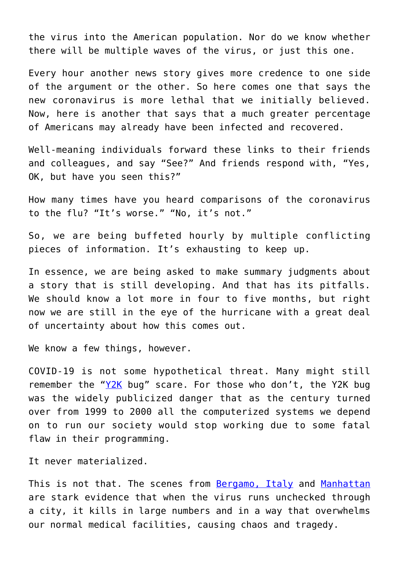the virus into the American population. Nor do we know whether there will be multiple waves of the virus, or just this one.

Every hour another news story gives more credence to one side of the argument or the other. So here comes one that says the new coronavirus is more lethal that we initially believed. Now, here is another that says that a much greater percentage of Americans may already have been infected and recovered.

Well-meaning individuals forward these links to their friends and colleagues, and say "See?" And friends respond with, "Yes, OK, but have you seen this?"

How many times have you heard comparisons of the coronavirus to the flu? "It's worse." "No, it's not."

So, we are being buffeted hourly by multiple conflicting pieces of information. It's exhausting to keep up.

In essence, we are being asked to make summary judgments about a story that is still developing. And that has its pitfalls. We should know a lot more in four to five months, but right now we are still in the eye of the hurricane with a great deal of uncertainty about how this comes out.

We know a few things, however.

COVID-19 is not some hypothetical threat. Many might still remember the " $YZK$  bug" scare. For those who don't, the [Y2K](https://www.britannica.com/technology/Y2K-bug) bug was the widely publicized danger that as the century turned over from 1999 to 2000 all the computerized systems we depend on to run our society would stop working due to some fatal flaw in their programming.

It never materialized.

This is not that. The scenes from **Bergamo, Italy** and [Manhattan](https://www.ctvnews.ca/health/coronavirus/scenes-from-the-epicentre-grim-images-from-new-york-city-1.4874424) are stark evidence that when the virus runs unchecked through a city, it kills in large numbers and in a way that overwhelms our normal medical facilities, causing chaos and tragedy.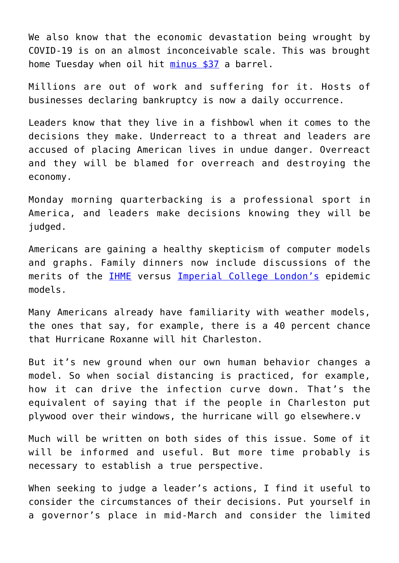We also know that the economic devastation being wrought by COVID-19 is on an almost inconceivable scale. This was brought home Tuesday when oil hit [minus \\$37](https://www.nbcnews.com/business/markets/oil-prices-tumble-lowest-level-1980s-n1187716) a barrel.

Millions are out of work and suffering for it. Hosts of businesses declaring bankruptcy is now a daily occurrence.

Leaders know that they live in a fishbowl when it comes to the decisions they make. Underreact to a threat and leaders are accused of placing American lives in undue danger. Overreact and they will be blamed for overreach and destroying the economy.

Monday morning quarterbacking is a professional sport in America, and leaders make decisions knowing they will be judged.

Americans are gaining a healthy skepticism of computer models and graphs. Family dinners now include discussions of the merits of the [IHME](https://covid19.healthdata.org/united-states-of-america) versus [Imperial College London's](https://www.imperial.ac.uk/mrc-global-infectious-disease-analysis/covid-19/) epidemic models.

Many Americans already have familiarity with weather models, the ones that say, for example, there is a 40 percent chance that Hurricane Roxanne will hit Charleston.

But it's new ground when our own human behavior changes a model. So when social distancing is practiced, for example, how it can drive the infection curve down. That's the equivalent of saying that if the people in Charleston put plywood over their windows, the hurricane will go elsewhere.v

Much will be written on both sides of this issue. Some of it will be informed and useful. But more time probably is necessary to establish a true perspective.

When seeking to judge a leader's actions, I find it useful to consider the circumstances of their decisions. Put yourself in a governor's place in mid-March and consider the limited